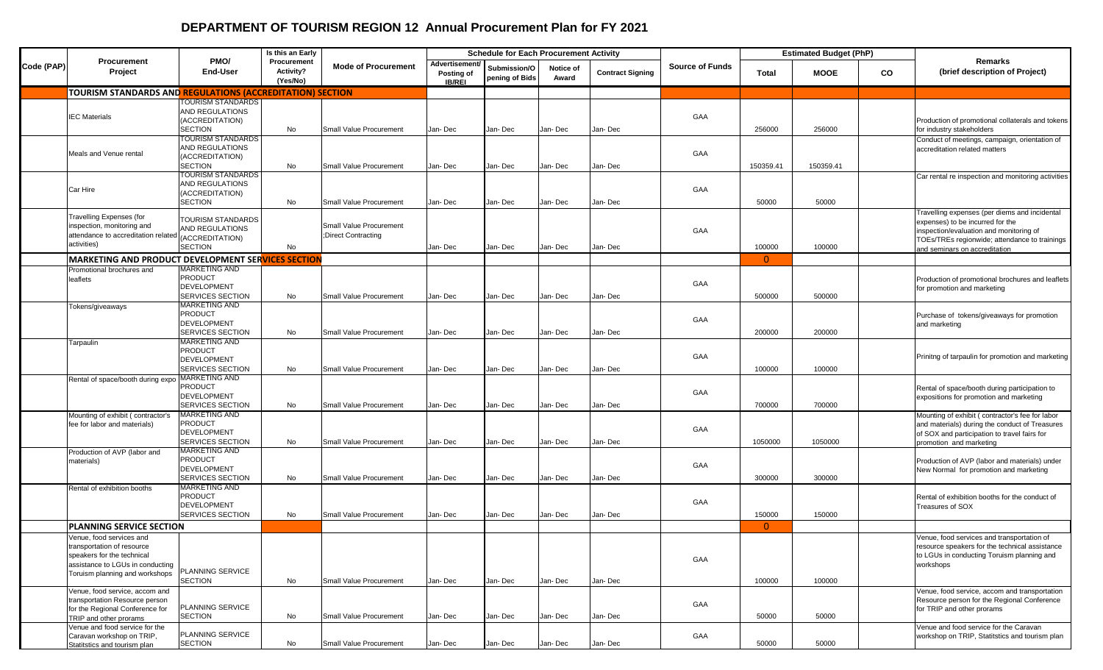## **DEPARTMENT OF TOURISM REGION 12 Annual Procurement Plan for FY 2021**

|            |                                                                  |                                        | Is this an Early                     |                            |                                               | <b>Schedule for Each Procurement Activity</b> |                    |                         |                        | <b>Estimated Budget (PhP)</b> |             |    |                                                                                         |
|------------|------------------------------------------------------------------|----------------------------------------|--------------------------------------|----------------------------|-----------------------------------------------|-----------------------------------------------|--------------------|-------------------------|------------------------|-------------------------------|-------------|----|-----------------------------------------------------------------------------------------|
| Code (PAP) | Procurement<br>Project                                           | PMO/<br><b>End-User</b>                | Procurement<br>Activity?<br>(Yes/No) | <b>Mode of Procurement</b> | Advertisement/<br>Posting of<br><b>IB/REI</b> | Submission/O<br>pening of Bids                | Notice of<br>Award | <b>Contract Signing</b> | <b>Source of Funds</b> | Total                         | <b>MOOE</b> | CO | Remarks<br>(brief description of Project)                                               |
|            | <b>TOURISM STANDARDS AND REGULATIONS (ACCREDITATION) SECTION</b> |                                        |                                      |                            |                                               |                                               |                    |                         |                        |                               |             |    |                                                                                         |
|            |                                                                  | <b>TOURISM STANDARDS</b>               |                                      |                            |                                               |                                               |                    |                         |                        |                               |             |    |                                                                                         |
|            | <b>IEC Materials</b>                                             | AND REGULATIONS                        |                                      |                            |                                               |                                               |                    |                         | GAA                    |                               |             |    |                                                                                         |
|            |                                                                  | (ACCREDITATION)                        |                                      |                            |                                               |                                               |                    |                         |                        |                               |             |    | Production of promotional collaterals and tokens                                        |
|            |                                                                  | <b>SECTION</b><br>TOURISM STANDARDS    | No                                   | Small Value Procurement    | Jan-Dec                                       | Jan- Dec                                      | Jan-Dec            | Jan- Dec                |                        | 256000                        | 256000      |    | for industry stakeholders                                                               |
|            |                                                                  | AND REGULATIONS                        |                                      |                            |                                               |                                               |                    |                         |                        |                               |             |    | Conduct of meetings, campaign, orientation of<br>accreditation related matters          |
|            | Meals and Venue rental                                           | (ACCREDITATION)                        |                                      |                            |                                               |                                               |                    |                         | GAA                    |                               |             |    |                                                                                         |
|            |                                                                  | <b>SECTION</b>                         | No                                   | Small Value Procurement    | Jan-Dec                                       | Jan- Dec                                      | Jan-Dec            | Jan- Dec                |                        | 150359.41                     | 150359.41   |    |                                                                                         |
|            |                                                                  | <b>TOURISM STANDARDS</b>               |                                      |                            |                                               |                                               |                    |                         |                        |                               |             |    | Car rental re inspection and monitoring activities                                      |
|            | Car Hire                                                         | AND REGULATIONS                        |                                      |                            |                                               |                                               |                    |                         | GAA                    |                               |             |    |                                                                                         |
|            |                                                                  | (ACCREDITATION)<br><b>SECTION</b>      | No                                   | Small Value Procurement    | Jan-Dec                                       | Jan- Dec                                      | Jan-Dec            | Jan- Dec                |                        | 50000                         | 50000       |    |                                                                                         |
|            |                                                                  |                                        |                                      |                            |                                               |                                               |                    |                         |                        |                               |             |    | Travelling expenses (per diems and incidental                                           |
|            | <b>Travelling Expenses (for</b>                                  | <b>TOURISM STANDARDS</b>               |                                      |                            |                                               |                                               |                    |                         |                        |                               |             |    | expenses) to be incurred for the                                                        |
|            | inspection, monitoring and                                       | AND REGULATIONS                        |                                      | Small Value Procurement    |                                               |                                               |                    |                         | GAA                    |                               |             |    | inspection/evaluation and monitoring of                                                 |
|            | attendance to accreditation related<br>activities)               | (ACCREDITATION)                        |                                      | ;Direct Contracting        |                                               |                                               |                    |                         |                        |                               |             |    | TOEs/TREs regionwide; attendance to trainings                                           |
|            |                                                                  | <b>SECTION</b>                         | No                                   |                            | Jan-Dec                                       | Jan- Dec                                      | Jan-Dec            | Jan- Dec                |                        | 100000                        | 100000      |    | and seminars on accreditation                                                           |
|            | MARKETING AND PRODUCT DEVELOPMENT SERVICES SECTION               |                                        |                                      |                            |                                               |                                               |                    |                         |                        | $\overline{0}$                |             |    |                                                                                         |
|            | Promotional brochures and                                        | MARKETING AND<br><b>PRODUCT</b>        |                                      |                            |                                               |                                               |                    |                         |                        |                               |             |    |                                                                                         |
|            | leaflets                                                         | <b>DEVELOPMENT</b>                     |                                      |                            |                                               |                                               |                    |                         | GAA                    |                               |             |    | Production of promotional brochures and leaflets<br>for promotion and marketing         |
|            |                                                                  | SERVICES SECTION                       | No                                   | Small Value Procurement    | Jan-Dec                                       | Jan- Dec                                      | Jan-Dec            | Jan- Dec                |                        | 500000                        | 500000      |    |                                                                                         |
|            | Tokens/giveaways                                                 | MARKETING AND                          |                                      |                            |                                               |                                               |                    |                         |                        |                               |             |    |                                                                                         |
|            |                                                                  | <b>PRODUCT</b>                         |                                      |                            |                                               |                                               |                    |                         | GAA                    |                               |             |    | Purchase of tokens/giveaways for promotion                                              |
|            |                                                                  | <b>DEVELOPMENT</b><br>SERVICES SECTION |                                      | Small Value Procurement    | Jan-Dec                                       | Jan- Dec                                      | Jan-Dec            | Jan-Dec                 |                        | 200000                        | 200000      |    | and marketing                                                                           |
|            |                                                                  | MARKETING AND                          | No                                   |                            |                                               |                                               |                    |                         |                        |                               |             |    |                                                                                         |
|            | Tarpaulin                                                        | <b>PRODUCT</b>                         |                                      |                            |                                               |                                               |                    |                         |                        |                               |             |    |                                                                                         |
|            |                                                                  | <b>DEVELOPMENT</b>                     |                                      |                            |                                               |                                               |                    |                         | GAA                    |                               |             |    | Prinitng of tarpaulin for promotion and marketing                                       |
|            |                                                                  | SERVICES SECTION                       | No                                   | Small Value Procurement    | Jan-Dec                                       | Jan- Dec                                      | Jan-Dec            | Jan- Dec                |                        | 100000                        | 100000      |    |                                                                                         |
|            | Rental of space/booth during expo                                | <b>MARKETING AND</b>                   |                                      |                            |                                               |                                               |                    |                         |                        |                               |             |    |                                                                                         |
|            |                                                                  | <b>PRODUCT</b><br><b>DEVELOPMENT</b>   |                                      |                            |                                               |                                               |                    |                         | GAA                    |                               |             |    | Rental of space/booth during participation to                                           |
|            |                                                                  | SERVICES SECTION                       | No                                   | Small Value Procurement    | Jan-Dec                                       | Jan- Dec                                      | Jan-Dec            | Jan- Dec                |                        | 700000                        | 700000      |    | expositions for promotion and marketing                                                 |
|            | Mounting of exhibit (contractor's                                | <b>MARKETING AND</b>                   |                                      |                            |                                               |                                               |                    |                         |                        |                               |             |    | Mounting of exhibit (contractor's fee for labor                                         |
|            | fee for labor and materials)                                     | <b>PRODUCT</b>                         |                                      |                            |                                               |                                               |                    |                         |                        |                               |             |    | and materials) during the conduct of Treasures                                          |
|            |                                                                  | <b>DEVELOPMENT</b>                     |                                      |                            |                                               |                                               |                    |                         | GAA                    |                               |             |    | of SOX and participation to travel fairs for                                            |
|            |                                                                  | SERVICES SECTION                       | No                                   | Small Value Procurement    | Jan-Dec                                       | Jan- Dec                                      | Jan-Dec            | Jan- Dec                |                        | 1050000                       | 1050000     |    | promotion and marketing                                                                 |
|            | Production of AVP (labor and                                     | <b>MARKETING AND</b><br><b>PRODUCT</b> |                                      |                            |                                               |                                               |                    |                         |                        |                               |             |    |                                                                                         |
|            | materials)                                                       | <b>DEVELOPMENT</b>                     |                                      |                            |                                               |                                               |                    |                         | GAA                    |                               |             |    | Production of AVP (labor and materials) under<br>New Normal for promotion and marketing |
|            |                                                                  | <b>SERVICES SECTION</b>                | No                                   | Small Value Procurement    | Jan-Dec                                       | Jan- Dec                                      | Jan-Dec            | Jan- Dec                |                        | 300000                        | 300000      |    |                                                                                         |
|            | Rental of exhibition booths                                      | <b>MARKETING AND</b>                   |                                      |                            |                                               |                                               |                    |                         |                        |                               |             |    |                                                                                         |
|            |                                                                  | <b>PRODUCT</b>                         |                                      |                            |                                               |                                               |                    |                         | GAA                    |                               |             |    | Rental of exhibition booths for the conduct of                                          |
|            |                                                                  | <b>DEVELOPMENT</b><br>SERVICES SECTION | No                                   | Small Value Procurement    | Jan-Dec                                       | Jan- Dec                                      | Jan-Dec            | Jan- Dec                |                        | 150000                        | 150000      |    | Treasures of SOX                                                                        |
|            | <b>PLANNING SERVICE SECTION</b>                                  |                                        |                                      |                            |                                               |                                               |                    |                         |                        | $\mathbf{0}$                  |             |    |                                                                                         |
|            |                                                                  |                                        |                                      |                            |                                               |                                               |                    |                         |                        |                               |             |    | Venue, food services and transportation of                                              |
|            | /enue, food services and<br>transportation of resource           |                                        |                                      |                            |                                               |                                               |                    |                         |                        |                               |             |    | resource speakers for the technical assistance                                          |
|            | speakers for the technical                                       |                                        |                                      |                            |                                               |                                               |                    |                         |                        |                               |             |    | to LGUs in conducting Toruism planning and                                              |
|            | assistance to LGUs in conducting                                 |                                        |                                      |                            |                                               |                                               |                    |                         | GAA                    |                               |             |    | workshops                                                                               |
|            | Toruism planning and workshops                                   | PLANNING SERVICE<br><b>SECTION</b>     |                                      | Small Value Procurement    |                                               | Jan- Dec                                      |                    | Jan-Dec                 |                        |                               | 100000      |    |                                                                                         |
|            | Venue, food service, accom and                                   |                                        | No                                   |                            | Jan-Dec                                       |                                               | Jan-Dec            |                         |                        | 100000                        |             |    | Venue, food service, accom and transportation                                           |
|            | transportation Resource person                                   |                                        |                                      |                            |                                               |                                               |                    |                         |                        |                               |             |    | Resource person for the Regional Conference                                             |
|            | for the Regional Conference for                                  | PLANNING SERVICE                       |                                      |                            |                                               |                                               |                    |                         | GAA                    |                               |             |    | for TRIP and other prorams                                                              |
|            | TRIP and other prorams                                           | <b>SECTION</b>                         | No                                   | Small Value Procurement    | Jan-Dec                                       | Jan- Dec                                      | Jan-Dec            | Jan-Dec                 |                        | 50000                         | 50000       |    |                                                                                         |
|            | Venue and food service for the                                   | PLANNING SERVICE                       |                                      |                            |                                               |                                               |                    |                         |                        |                               |             |    | Venue and food service for the Caravan                                                  |
|            | Caravan workshop on TRIP,<br>Statitstics and tourism plan        | <b>SECTION</b>                         | No                                   | Small Value Procurement    | Jan-Dec                                       | Jan- Dec                                      | Jan-Dec            | Jan-Dec                 | GAA                    | 50000                         | 50000       |    | workshop on TRIP, Statitstics and tourism plan                                          |
|            |                                                                  |                                        |                                      |                            |                                               |                                               |                    |                         |                        |                               |             |    |                                                                                         |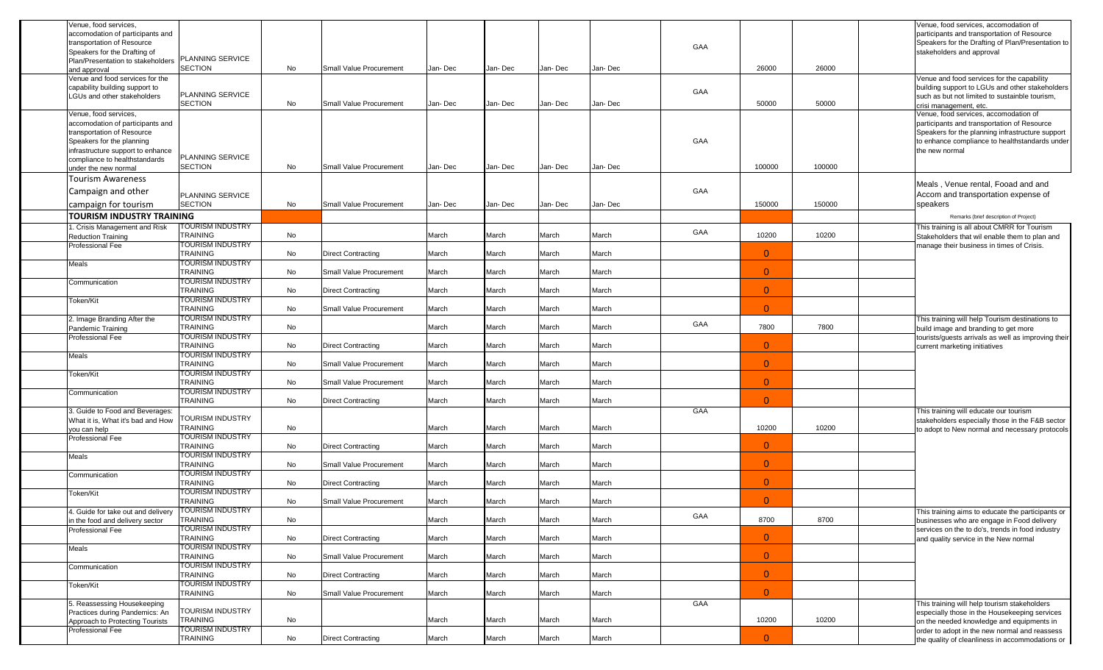| Venue, food services,<br>accomodation of participants and<br>transportation of Resource<br>Speakers for the Drafting of          |                                     |    |                                |         |         |         |         | GAA |                |        | Venue, food services, accomodation of<br>participants and transportation of Resource<br>Speakers for the Drafting of Plan/Presentation to<br>stakeholders and approval    |
|----------------------------------------------------------------------------------------------------------------------------------|-------------------------------------|----|--------------------------------|---------|---------|---------|---------|-----|----------------|--------|---------------------------------------------------------------------------------------------------------------------------------------------------------------------------|
| Plan/Presentation to stakeholders<br>and approval                                                                                | PLANNING SERVICE<br>SECTION         | No | Small Value Procurement        | Jan-Dec | Jan-Dec | Jan-Dec | Jan-Dec |     | 26000          | 26000  |                                                                                                                                                                           |
| Venue and food services for the<br>capability building support to<br>LGUs and other stakeholders                                 | PLANNING SERVICE<br><b>SECTION</b>  | No | Small Value Procurement        | Jan-Dec | Jan-Dec | Jan-Dec | Jan-Dec | GAA | 50000          | 50000  | Venue and food services for the capability<br>building support to LGUs and other stakeholders<br>such as but not limited to sustainble tourism,<br>crisi management, etc. |
| Venue, food services,                                                                                                            |                                     |    |                                |         |         |         |         |     |                |        | Venue, food services, accomodation of                                                                                                                                     |
| accomodation of participants and<br>transportation of Resource<br>Speakers for the planning<br>infrastructure support to enhance | PLANNING SERVICE                    |    |                                |         |         |         |         | GAA |                |        | participants and transportation of Resource<br>Speakers for the planning infrastructure support<br>to enhance compliance to healthstandards under<br>the new normal       |
| compliance to healthstandards<br>under the new normal                                                                            | <b>SECTION</b>                      | No | Small Value Procurement        | Jan-Dec | Jan-Dec | Jan-Dec | Jan-Dec |     | 100000         | 100000 |                                                                                                                                                                           |
|                                                                                                                                  |                                     |    |                                |         |         |         |         |     |                |        |                                                                                                                                                                           |
| <b>Tourism Awareness</b>                                                                                                         |                                     |    |                                |         |         |         |         |     |                |        | Meals, Venue rental, Fooad and and                                                                                                                                        |
| Campaign and other                                                                                                               | <b>PLANNING SERVICE</b>             |    |                                |         |         |         |         | GAA |                |        | Accom and transportation expense of                                                                                                                                       |
| campaign for tourism                                                                                                             | <b>SECTION</b>                      | No | <b>Small Value Procurement</b> | Jan-Dec | Jan-Dec | Jan-Dec | Jan-Dec |     | 150000         | 150000 | speakers                                                                                                                                                                  |
| <b>TOURISM INDUSTRY TRAINING</b>                                                                                                 |                                     |    |                                |         |         |         |         |     |                |        | Remarks (brief description of Project)                                                                                                                                    |
| . Crisis Management and Risk                                                                                                     | TOURISM INDUSTRY                    |    |                                |         |         |         |         |     |                |        | This training is all about CMRR for Tourism                                                                                                                               |
| <b>Reduction Training</b>                                                                                                        | <b>TRAINING</b>                     | No |                                | March   | March   | March   | March   | GAA | 10200          | 10200  | Stakeholders that wil enable them to plan and                                                                                                                             |
| Professional Fee                                                                                                                 | TOURISM INDUSTRY                    |    |                                |         |         |         |         |     |                |        | manage their business in times of Crisis.                                                                                                                                 |
|                                                                                                                                  | <b>TRAINING</b>                     | No | <b>Direct Contracting</b>      | March   | March   | March   | March   |     | $\overline{0}$ |        |                                                                                                                                                                           |
| Meals                                                                                                                            | TOURISM INDUSTRY                    |    |                                |         |         |         |         |     |                |        |                                                                                                                                                                           |
|                                                                                                                                  | <b>TRAINING</b>                     | No | Small Value Procurement        | March   | March   | March   | March   |     | $\overline{0}$ |        |                                                                                                                                                                           |
| Communication                                                                                                                    | TOURISM INDUSTRY                    |    |                                |         |         |         |         |     |                |        |                                                                                                                                                                           |
|                                                                                                                                  | <b>TRAINING</b>                     | No | <b>Direct Contracting</b>      | March   | March   | March   | March   |     | $\overline{0}$ |        |                                                                                                                                                                           |
| Token/Kit                                                                                                                        | TOURISM INDUSTRY                    |    |                                |         |         |         |         |     |                |        |                                                                                                                                                                           |
|                                                                                                                                  | <b>TRAINING</b>                     | No | Small Value Procurement        | March   | March   | March   | March   |     | $\Omega$       |        |                                                                                                                                                                           |
| 2. Image Branding After the                                                                                                      | TOURISM INDUSTRY                    |    |                                |         |         |         |         | GAA |                |        | This training will help Tourism destinations to                                                                                                                           |
| Pandemic Training                                                                                                                | <b>TRAINING</b>                     | No |                                | March   | March   | March   | March   |     | 7800           | 7800   | build image and branding to get more                                                                                                                                      |
| Professional Fee                                                                                                                 | TOURISM INDUSTRY                    |    |                                | March   |         |         | March   |     | $\overline{0}$ |        | tourists/guests arrivals as well as improving their                                                                                                                       |
|                                                                                                                                  | <b>TRAINING</b><br>TOURISM INDUSTRY | No | <b>Direct Contracting</b>      |         | March   | March   |         |     |                |        | current marketing initiatives                                                                                                                                             |
| Meals                                                                                                                            | <b>TRAINING</b>                     | No | Small Value Procurement        | March   | March   | March   | March   |     | $\overline{0}$ |        |                                                                                                                                                                           |
| Token/Kit                                                                                                                        | TOURISM INDUSTRY                    |    |                                |         |         |         |         |     |                |        |                                                                                                                                                                           |
|                                                                                                                                  | <b>TRAINING</b>                     | No | Small Value Procurement        | March   | March   | March   | March   |     | $\overline{0}$ |        |                                                                                                                                                                           |
| Communication                                                                                                                    | TOURISM INDUSTRY                    |    |                                |         |         |         |         |     |                |        |                                                                                                                                                                           |
|                                                                                                                                  | <b>TRAINING</b>                     | No | <b>Direct Contracting</b>      | March   | March   | March   | March   |     | $\Omega$       |        |                                                                                                                                                                           |
| 3. Guide to Food and Beverages:                                                                                                  |                                     |    |                                |         |         |         |         | GAA |                |        | This training will educate our tourism                                                                                                                                    |
| What it is, What it's bad and How                                                                                                | TOURISM INDUSTRY                    |    |                                |         |         |         |         |     |                |        | stakeholders especially those in the F&B sector                                                                                                                           |
| you can help                                                                                                                     | <b>TRAINING</b>                     | No |                                | March   | March   | March   | March   |     | 10200          | 10200  | to adopt to New normal and necessary protocols                                                                                                                            |
| Professional Fee                                                                                                                 | TOURISM INDUSTRY                    |    |                                |         |         |         |         |     |                |        |                                                                                                                                                                           |
|                                                                                                                                  | TRAINING                            | No | <b>Direct Contracting</b>      | March   | March   | March   | March   |     | $\overline{0}$ |        |                                                                                                                                                                           |
| Meals                                                                                                                            | TOURISM INDUSTRY                    |    |                                |         |         |         |         |     |                |        |                                                                                                                                                                           |
|                                                                                                                                  | TRAINING<br><b>TOURISM INDUSTRY</b> | No | Small Value Procurement        | March   | March   | March   | March   |     | $\overline{0}$ |        |                                                                                                                                                                           |
| Communication                                                                                                                    | <b>TRAINING</b>                     | No | <b>Direct Contracting</b>      | March   | March   | March   | March   |     | $\overline{0}$ |        |                                                                                                                                                                           |
| Token/Kit                                                                                                                        | TOURISM INDUSTRY                    |    |                                |         |         |         |         |     |                |        |                                                                                                                                                                           |
|                                                                                                                                  | <b>TRAINING</b>                     | No | <b>Small Value Procurement</b> | March   | March   | March   | March   |     | $\Omega$       |        |                                                                                                                                                                           |
| 4. Guide for take out and delivery                                                                                               | <b>IOURISM INDUSTRY</b>             |    |                                |         |         |         |         |     |                |        | This training aims to educate the participants or                                                                                                                         |
| in the food and delivery sector                                                                                                  | TRAINING                            | No |                                | March   | March   | March   | March   | GAA | 8700           | 8700   | businesses who are engage in Food delivery                                                                                                                                |
| Professional Fee                                                                                                                 | TOURISM INDUSTRY                    |    |                                |         |         |         |         |     |                |        | services on the to do's, trends in food industry                                                                                                                          |
|                                                                                                                                  | TRAINING                            | No | <b>Direct Contracting</b>      | March   | March   | March   | March   |     | $\overline{0}$ |        | and quality service in the New normal                                                                                                                                     |
| Meals                                                                                                                            | TOURISM INDUSTRY                    |    |                                |         |         |         |         |     |                |        |                                                                                                                                                                           |
|                                                                                                                                  | TRAINING                            | No | Small Value Procurement        | March   | March   | March   | March   |     | $\mathbf{0}$   |        |                                                                                                                                                                           |
| Communication                                                                                                                    | TOURISM INDUSTRY                    |    |                                |         |         |         |         |     |                |        |                                                                                                                                                                           |
|                                                                                                                                  | TRAINING                            | No | <b>Direct Contracting</b>      | March   | March   | March   | March   |     | $\mathbf{0}$   |        |                                                                                                                                                                           |
| Token/Kit                                                                                                                        | TOURISM INDUSTRY                    |    |                                |         |         |         |         |     |                |        |                                                                                                                                                                           |
|                                                                                                                                  | TRAINING                            | No | Small Value Procurement        | March   | March   | March   | March   |     | $\overline{0}$ |        |                                                                                                                                                                           |
| 5. Reassessing Housekeeping                                                                                                      |                                     |    |                                |         |         |         |         | GAA |                |        | This training will help tourism stakeholders                                                                                                                              |
| Practices during Pandemics: An                                                                                                   | TOURISM INDUSTRY<br>TRAINING        | No |                                | March   | March   | March   | March   |     | 10200          | 10200  | especially those in the Housekeeping services                                                                                                                             |
| Approach to Protecting Tourists<br>Professional Fee                                                                              | TOURISM INDUSTRY                    |    |                                |         |         |         |         |     |                |        | on the needed knowledge and equipments in<br>order to adopt in the new normal and reassess                                                                                |
|                                                                                                                                  | TRAINING                            | No | <b>Direct Contracting</b>      | March   | March   | March   | March   |     | $\mathbf{0}$   |        | the quality of cleanliness in accommodations or                                                                                                                           |
|                                                                                                                                  |                                     |    |                                |         |         |         |         |     |                |        |                                                                                                                                                                           |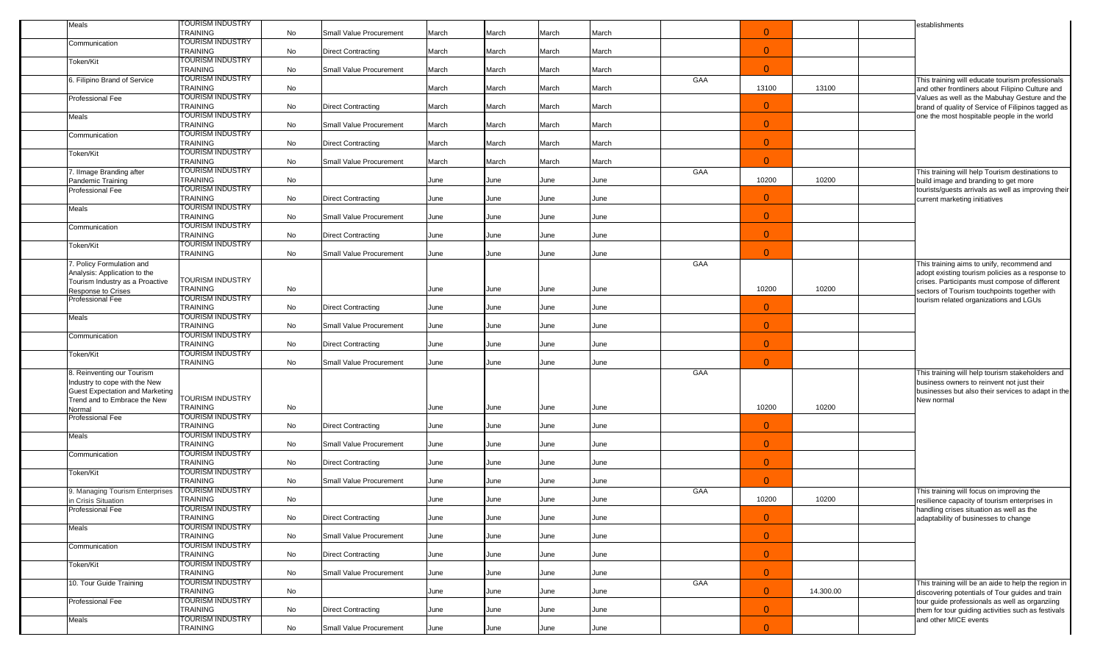| Meals                                                                  | TOURISM INDUSTRY<br>TRAINING               | No | Small Value Procurement        | March | March | March | March |     | $\mathbf{0}$   |           |  | establishments                                                                                       |
|------------------------------------------------------------------------|--------------------------------------------|----|--------------------------------|-------|-------|-------|-------|-----|----------------|-----------|--|------------------------------------------------------------------------------------------------------|
| Communication                                                          | <b>TOURISM INDUSTRY</b>                    |    |                                |       |       |       |       |     |                |           |  |                                                                                                      |
|                                                                        | TRAINING                                   | No | <b>Direct Contracting</b>      | March | March | March | March |     | $\overline{0}$ |           |  |                                                                                                      |
| Token/Kit                                                              | <b>TOURISM INDUSTRY</b><br><b>TRAINING</b> | No | Small Value Procurement        | March | March | March | March |     | $\overline{0}$ |           |  |                                                                                                      |
| 6. Filipino Brand of Service                                           | TOURISM INDUSTRY<br><b>TRAINING</b>        | No |                                | March | March | March | March | GAA | 13100          | 13100     |  | This training will educate tourism professionals<br>and other frontliners about Filipino Culture and |
| Professional Fee                                                       | TOURISM INDUSTRY                           |    |                                |       |       |       |       |     |                |           |  | Values as well as the Mabuhay Gesture and the                                                        |
| Meals                                                                  | <b>TRAINING</b><br><b>TOURISM INDUSTRY</b> | No | <b>Direct Contracting</b>      | March | March | March | March |     | $\overline{0}$ |           |  | brand of quality of Service of Filipinos tagged as<br>one the most hospitable people in the world    |
| Communication                                                          | TRAINING<br><b>TOURISM INDUSTRY</b>        | No | Small Value Procurement        | March | March | March | March |     | $\overline{0}$ |           |  |                                                                                                      |
|                                                                        | TRAINING                                   | No | <b>Direct Contracting</b>      | March | March | March | March |     | $\overline{0}$ |           |  |                                                                                                      |
| Token/Kit                                                              | <b>TOURISM INDUSTRY</b><br><b>TRAINING</b> | No | Small Value Procurement        | March | March | March | March |     | $\overline{0}$ |           |  |                                                                                                      |
| 7. Ilmage Branding after                                               | TOURISM INDUSTRY                           |    |                                |       |       |       |       | GAA |                |           |  | This training will help Tourism destinations to                                                      |
| Pandemic Training<br>Professional Fee                                  | <b>TRAINING</b><br>TOURISM INDUSTRY        | No |                                | June  | June  | June  | June  |     | 10200          | 10200     |  | build image and branding to get more<br>tourists/guests arrivals as well as improving their          |
|                                                                        | <b>TRAINING</b>                            | No | <b>Direct Contracting</b>      | June  | June  | June  | June  |     | $\overline{0}$ |           |  | current marketing initiatives                                                                        |
| Meals                                                                  | <b>TOURISM INDUSTRY</b><br><b>TRAINING</b> | No | Small Value Procurement        | June  | June  | June  | June  |     | $\overline{0}$ |           |  |                                                                                                      |
| Communication                                                          | <b>TOURISM INDUSTRY</b><br>TRAINING        | No | <b>Direct Contracting</b>      | June  | June  | June  | June  |     | $\overline{0}$ |           |  |                                                                                                      |
| Token/Kit                                                              | <b>TOURISM INDUSTRY</b><br><b>TRAINING</b> | No | Small Value Procurement        | June  | June  | June  | June  |     | $\overline{0}$ |           |  |                                                                                                      |
| 7. Policy Formulation and                                              |                                            |    |                                |       |       |       |       | GAA |                |           |  | This training aims to unify, recommend and                                                           |
| Analysis: Application to the                                           | <b>TOURISM INDUSTRY</b>                    |    |                                |       |       |       |       |     |                |           |  | adopt existing tourism policies as a response to                                                     |
| Tourism Industry as a Proactive<br>Response to Crises                  | TRAINING                                   | No |                                | June  | June  | June  | June  |     | 10200          | 10200     |  | crises. Participants must compose of different<br>sectors of Tourism touchpoints together with       |
| Professional Fee                                                       | <b>TOURISM INDUSTRY</b>                    |    |                                |       |       |       |       |     | $\Omega$       |           |  | tourism related organizations and LGUs                                                               |
| Meals                                                                  | <b>TRAINING</b><br>TOURISM INDUSTRY        | No | <b>Direct Contracting</b>      | June  | June  | June  | June  |     |                |           |  |                                                                                                      |
|                                                                        | <b>TRAINING</b>                            | No | Small Value Procurement        | June  | June  | June  | June  |     | $\overline{0}$ |           |  |                                                                                                      |
| Communication                                                          | TOURISM INDUSTRY<br><b>TRAINING</b>        | No | <b>Direct Contracting</b>      | June  | June  | June  | June  |     | $\overline{0}$ |           |  |                                                                                                      |
| Token/Kit                                                              | <b>TOURISM INDUSTRY</b><br><b>TRAINING</b> | No | <b>Small Value Procurement</b> | June  | June  | June  | June  |     | $\mathbf{0}$   |           |  |                                                                                                      |
| 8. Reinventing our Tourism                                             |                                            |    |                                |       |       |       |       | GAA |                |           |  | This training will help tourism stakeholders and                                                     |
| Industry to cope with the New                                          |                                            |    |                                |       |       |       |       |     |                |           |  | business owners to reinvent not just their                                                           |
| <b>Guest Expectation and Marketing</b><br>Trend and to Embrace the New | TOURISM INDUSTRY                           |    |                                |       |       |       |       |     |                |           |  | businesses but also their services to adapt in the<br>New normal                                     |
| Normal                                                                 | <b>TRAINING</b>                            | No |                                | June  | June  | June  | June  |     | 10200          | 10200     |  |                                                                                                      |
| Professional Fee                                                       | TOURISM INDUSTRY<br><b>TRAINING</b>        | No | <b>Direct Contracting</b>      | June  | June  | June  | June  |     | $\overline{0}$ |           |  |                                                                                                      |
| Meals                                                                  | TOURISM INDUSTRY                           |    |                                |       |       |       |       |     |                |           |  |                                                                                                      |
| Communication                                                          | <b>TRAINING</b><br><b>TOURISM INDUSTRY</b> | No | Small Value Procurement        | June  | June  | June  | June  |     | $\overline{0}$ |           |  |                                                                                                      |
|                                                                        | <b>TRAINING</b>                            | No | <b>Direct Contracting</b>      | June  | June  | June  | June  |     | $\overline{0}$ |           |  |                                                                                                      |
| Token/Kit                                                              | <b>TOURISM INDUSTRY</b><br><b>TRAINING</b> | No | Small Value Procurement        | June  | June  | June  | June  |     | $\overline{0}$ |           |  |                                                                                                      |
| <b>J. Managing Tourism Enterprises</b>                                 | TOURISM INDUSTRY                           |    |                                |       |       |       |       | GAA |                |           |  | This training will focus on improving the                                                            |
| n Crisis Situation<br>Professional Fee                                 | TRAINING<br><b>TOURISM INDUSTRY</b>        | No |                                | June  | June  | June  | June  |     | 10200          | 10200     |  | resilience capacity of tourism enterprises in<br>handling crises situation as well as the            |
|                                                                        | <b>TRAINING</b>                            | No | <b>Direct Contracting</b>      | June  | June  | June  | June  |     | $\overline{0}$ |           |  | adaptability of businesses to change                                                                 |
| Meals                                                                  | TOURISM INDUSTRY<br><b>TRAINING</b>        | No | Small Value Procurement        | June  | June  | June  | June  |     | $\overline{0}$ |           |  |                                                                                                      |
| Communication                                                          | <b>TOURISM INDUSTRY</b><br>TRAINING        |    |                                |       |       |       |       |     | $\overline{0}$ |           |  |                                                                                                      |
| Token/Kit                                                              | TOURISM INDUSTRY                           | No | <b>Direct Contracting</b>      | June  | June  | June  | June  |     |                |           |  |                                                                                                      |
| 10. Tour Guide Training                                                | TRAINING<br><b>TOURISM INDUSTRY</b>        | No | Small Value Procurement        | June  | June  | June  | June  | GAA | $\overline{0}$ |           |  | This training will be an aide to help the region in                                                  |
|                                                                        | TRAINING                                   | No |                                | June  | June  | June  | June  |     | $\overline{0}$ | 14.300.00 |  | discovering potentials of Tour guides and train                                                      |
| Professional Fee                                                       | <b>TOURISM INDUSTRY</b><br><b>TRAINING</b> | No | <b>Direct Contracting</b>      | June  | June  | June  | June  |     | $\overline{0}$ |           |  | tour guide professionals as well as organziing<br>them for tour guiding activities such as festivals |
| Meals                                                                  | <b>TOURISM INDUSTRY</b>                    |    |                                |       |       |       |       |     |                |           |  | and other MICE events                                                                                |
|                                                                        | <b>TRAINING</b>                            | No | Small Value Procurement        | June  | June  | June  | June  |     | $\overline{0}$ |           |  |                                                                                                      |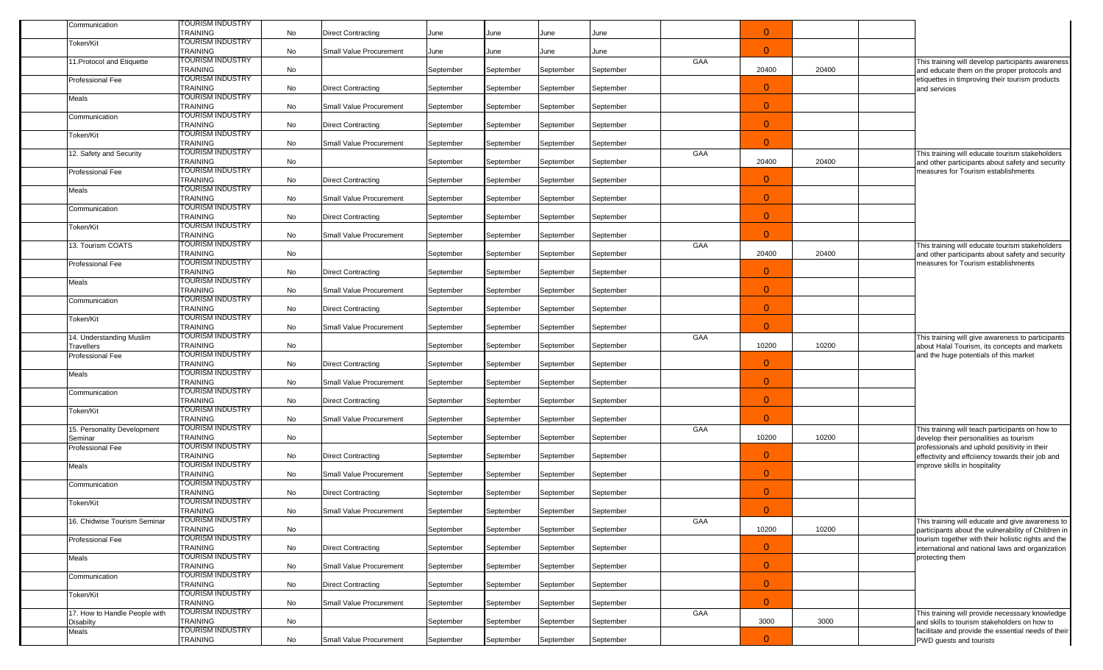| Communication                              | <b>FOURISM INDUSTRY</b><br><b>TRAINING</b>                     | No |                                |           |           | June      | June      |     | $\mathbf{0}$   |       |                                                                                                                            |
|--------------------------------------------|----------------------------------------------------------------|----|--------------------------------|-----------|-----------|-----------|-----------|-----|----------------|-------|----------------------------------------------------------------------------------------------------------------------------|
| Token/Kit                                  | TOURISM INDUSTRY                                               |    | <b>Direct Contracting</b>      | June      | June      |           |           |     |                |       |                                                                                                                            |
|                                            | <b>TRAINING</b>                                                | No | Small Value Procurement        | June      | June      | June      | June      |     | $\Omega$       |       |                                                                                                                            |
| 11. Protocol and Etiquette                 | <b>TOURISM INDUSTRY</b><br><b>TRAINING</b>                     | No |                                | September | September | September | September | GAA | 20400          | 20400 | This training will develop participants awareness<br>and educate them on the proper protocols and                          |
| Professional Fee                           | TOURISM INDUSTRY<br><b>TRAINING</b>                            | No | Direct Contracting             | September | September | September | September |     | $\overline{0}$ |       | etiquettes in timproving their tourism products<br>and services                                                            |
| Meals                                      | TOURISM INDUSTRY<br><b>TRAINING</b>                            | No | Small Value Procurement        | September | September | September | September |     | $\overline{0}$ |       |                                                                                                                            |
| Communication                              | TOURISM INDUSTRY<br><b>TRAINING</b>                            | No | <b>Direct Contracting</b>      | September | September | September | September |     | $\overline{0}$ |       |                                                                                                                            |
| Token/Kit                                  | TOURISM INDUSTRY<br><b>TRAINING</b>                            | No | <b>Small Value Procurement</b> | September | September | September | September |     | $\Omega$       |       |                                                                                                                            |
| 12. Safety and Security                    | TOURISM INDUSTRY<br><b>TRAINING</b>                            | No |                                | September | September | September | September | GAA | 20400          | 20400 | This training will educate tourism stakeholders<br>and other participants about safety and security                        |
| Professional Fee                           | TOURISM INDUSTRY<br><b>TRAINING</b>                            | No | <b>Direct Contracting</b>      | September | September | September | September |     | $\mathbf{0}$   |       | measures for Tourism establishments                                                                                        |
| Meals                                      | TOURISM INDUSTRY<br><b>TRAINING</b>                            | No | <b>Small Value Procurement</b> | September | September | September | September |     | $\overline{0}$ |       |                                                                                                                            |
| Communication                              | TOURISM INDUSTRY<br><b>TRAINING</b>                            | No | <b>Direct Contracting</b>      | September | September | September | September |     | $\overline{0}$ |       |                                                                                                                            |
| Token/Kit                                  | TOURISM INDUSTRY<br><b>TRAINING</b>                            | No | <b>Small Value Procurement</b> |           |           |           |           |     | $\Omega$       |       |                                                                                                                            |
| 13. Tourism COATS                          | TOURISM INDUSTRY                                               |    |                                | September | September | September | September | GAA |                |       | This training will educate tourism stakeholders                                                                            |
| Professional Fee                           | <b>TRAINING</b><br>TOURISM INDUSTRY                            | No |                                | September | September | September | September |     | 20400          | 20400 | and other participants about safety and security<br>measures for Tourism establishments                                    |
| Meals                                      | <b>TRAINING</b><br>TOURISM INDUSTRY                            | No | <b>Direct Contracting</b>      | September | September | September | September |     | $\mathbf{0}$   |       |                                                                                                                            |
| Communication                              | <b>TRAINING</b><br>TOURISM INDUSTRY                            | No | <b>Small Value Procurement</b> | September | September | September | September |     | $\overline{0}$ |       |                                                                                                                            |
| Token/Kit                                  | <b>TRAINING</b><br><b>TOURISM INDUSTRY</b>                     | No | <b>Direct Contracting</b>      | September | September | September | September |     | $\overline{0}$ |       |                                                                                                                            |
|                                            | <b>TRAINING</b>                                                | No | Small Value Procurement        | September | September | September | September |     | $\Omega$       |       |                                                                                                                            |
| 14. Understanding Muslim<br>Travellers     | TOURISM INDUSTRY<br><b>TRAINING</b>                            | No |                                | September | September | September | September | GAA | 10200          | 10200 | This training will give awareness to participants<br>about Halal Tourism, its concepts and markets                         |
| Professional Fee                           | TOURISM INDUSTRY<br><b>TRAINING</b>                            | No | <b>Direct Contracting</b>      | September | September | September | September |     | $\mathbf{0}$   |       | and the huge potentials of this market                                                                                     |
| Meals                                      | TOURISM INDUSTRY<br><b>TRAINING</b>                            | No | <b>Small Value Procurement</b> | September | September | September | September |     | $\overline{0}$ |       |                                                                                                                            |
| Communication                              | TOURISM INDUSTRY<br><b>TRAINING</b><br><b>TOURISM INDUSTRY</b> | No | <b>Direct Contracting</b>      | September | September | September | September |     | $\overline{0}$ |       |                                                                                                                            |
| Token/Kit                                  | <b>TRAINING</b>                                                | No | Small Value Procurement        | September | September | September | September |     | $\Omega$       |       |                                                                                                                            |
| 15. Personality Development<br>Seminar     | TOURISM INDUSTRY<br><b>TRAINING</b>                            | No |                                | September | September | September | September | GAA | 10200          | 10200 | This training will teach participants on how to<br>develop their personalities as tourism                                  |
| Professional Fee                           | TOURISM INDUSTRY<br><b>TRAINING</b>                            | No | Direct Contracting             | September | September | September | September |     | $\mathbf{0}$   |       | professionals and uphold positivity in their<br>effectivity and effciiency towards their job and                           |
| Meals                                      | TOURISM INDUSTRY<br><b>TRAINING</b>                            | No | Small Value Procurement        | September | September | September | September |     | $\overline{0}$ |       | improve skills in hospitality                                                                                              |
| Communication                              | TOURISM INDUSTRY<br><b>TRAINING</b>                            | No | <b>Direct Contracting</b>      | September | September | September | September |     | $\overline{0}$ |       |                                                                                                                            |
| Token/Kit                                  | TOURISM INDUSTRY<br>TRAINING                                   | No | Small Value Procurement        | September | September | September | September |     | $\Omega$       |       |                                                                                                                            |
| 16. Chidwise Tourism Seminar               | <b>TOURISM INDUSTRY</b><br><b>TRAINING</b>                     | No |                                | September | September | September | September | GAA | 10200          | 10200 | This training will educate and give awareness to<br>participants about the vulnerability of Children in                    |
| Professional Fee                           | TOURISM INDUSTRY<br><b>TRAINING</b>                            | No | <b>Direct Contracting</b>      | September | September | September | September |     | $\overline{0}$ |       | tourism together with their holistic rights and the<br>international and national laws and organization<br>protecting them |
| Meals                                      | TOURISM INDUSTRY<br><b>TRAINING</b><br>TOURISM INDUSTRY        | No | Small Value Procurement        | September | September | September | September |     | $\overline{0}$ |       |                                                                                                                            |
| Communication                              | TRAINING<br><b>TOURISM INDUSTRY</b>                            | No | <b>Direct Contracting</b>      | September | September | September | September |     | $\overline{0}$ |       |                                                                                                                            |
| Token/Kit                                  | <b>TRAINING</b>                                                | No | Small Value Procurement        | September | September | September | September |     | $\overline{0}$ |       |                                                                                                                            |
| 17. How to Handle People with<br>Disabilty | <b>TOURISM INDUSTRY</b><br>TRAINING                            | No |                                | September | September | September | September | GAA | 3000           | 3000  | This training will provide necesssary knowledge<br>and skills to tourism stakeholders on how to                            |
| Meals                                      | TOURISM INDUSTRY<br><b>TRAINING</b>                            | No | Small Value Procurement        | September | September | September | September |     | $\overline{0}$ |       | facilitate and provide the essential needs of their<br>PWD guests and tourists                                             |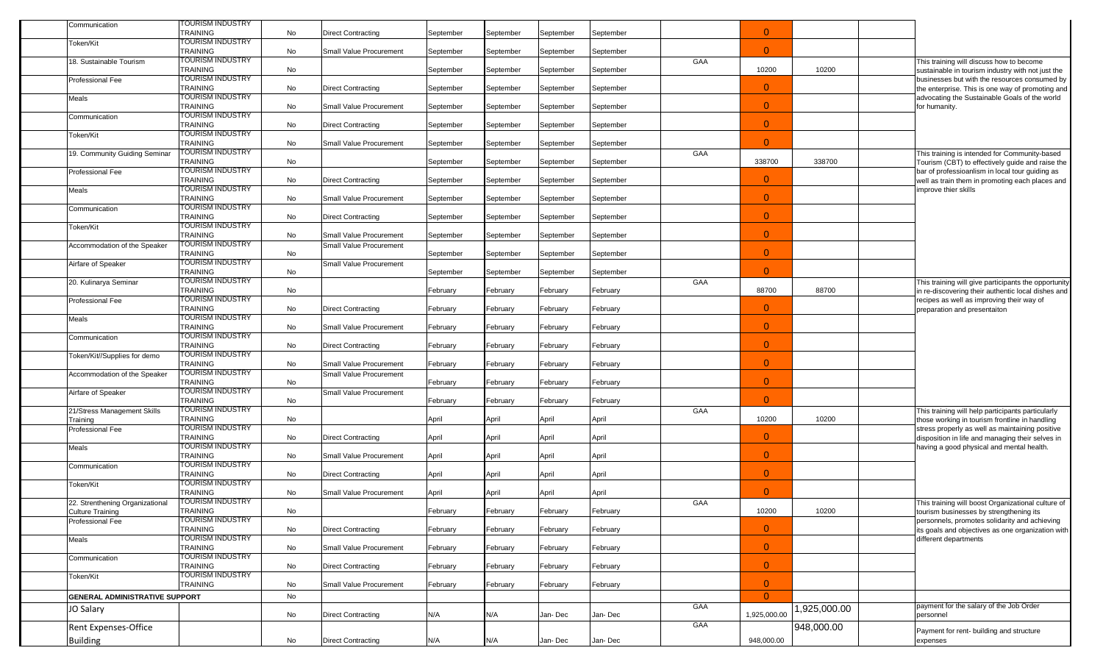| Communication                         | TOURISM INDUSTRY                           |    |                                |           |           |           |           |     |                |             |  |                                                                                                                             |
|---------------------------------------|--------------------------------------------|----|--------------------------------|-----------|-----------|-----------|-----------|-----|----------------|-------------|--|-----------------------------------------------------------------------------------------------------------------------------|
| Token/Kit                             | <b>TRAINING</b><br><b>TOURISM INDUSTRY</b> | No | <b>Direct Contracting</b>      | September | September | September | September |     | $\overline{0}$ |             |  |                                                                                                                             |
|                                       | <b>TRAINING</b>                            | No | Small Value Procurement        | September | September | September | September |     | $\overline{0}$ |             |  |                                                                                                                             |
| 18. Sustainable Tourism               | <b>TOURISM INDUSTRY</b>                    |    |                                |           |           |           |           | GAA |                |             |  | This training will discuss how to become                                                                                    |
| Professional Fee                      | <b>TRAINING</b><br><b>TOURISM INDUSTRY</b> | No |                                | September | September | September | September |     | 10200          | 10200       |  | sustainable in tourism industry with not just the<br>businesses but with the resources consumed by                          |
|                                       | <b>TRAINING</b>                            | No | <b>Direct Contracting</b>      | September | September | September | September |     | $\overline{0}$ |             |  | the enterprise. This is one way of promoting and                                                                            |
| Meals                                 | TOURISM INDUSTRY                           |    |                                |           |           |           |           |     |                |             |  | advocating the Sustainable Goals of the world                                                                               |
|                                       | <b>TRAINING</b><br><b>TOURISM INDUSTRY</b> | No | <b>Small Value Procurement</b> | September | September | September | September |     | $\overline{0}$ |             |  | for humanity.                                                                                                               |
| Communication                         | <b>TRAINING</b>                            | No | <b>Direct Contracting</b>      | September | September | September | September |     | $\overline{0}$ |             |  |                                                                                                                             |
| Token/Kit                             | <b>TOURISM INDUSTRY</b>                    |    |                                |           |           |           |           |     |                |             |  |                                                                                                                             |
|                                       | <b>TRAINING</b><br><b>TOURISM INDUSTRY</b> | No | Small Value Procurement        | September | September | September | September |     | $\mathbf{0}$   |             |  |                                                                                                                             |
| 19. Community Guiding Seminar         | <b>TRAINING</b>                            | No |                                | September | September | September | September | GAA | 338700         | 338700      |  | This training is intended for Community-based<br>Tourism (CBT) to effectively guide and raise the                           |
| Professional Fee                      | TOURISM INDUSTRY                           |    |                                |           |           |           |           |     |                |             |  | bar of professioanlism in local tour guiding as                                                                             |
|                                       | <b>TRAINING</b>                            | No | <b>Direct Contracting</b>      | September | September | September | September |     | $\overline{0}$ |             |  | well as train them in promoting each places and                                                                             |
| Meals                                 | TOURISM INDUSTRY<br><b>TRAINING</b>        | No | <b>Small Value Procurement</b> | September | September | September | September |     | $\overline{0}$ |             |  | mprove thier skills                                                                                                         |
| Communication                         | <b>TOURISM INDUSTRY</b>                    |    |                                |           |           |           |           |     |                |             |  |                                                                                                                             |
|                                       | <b>TRAINING</b>                            | No | <b>Direct Contracting</b>      | September | September | September | September |     | $\overline{0}$ |             |  |                                                                                                                             |
| Token/Kit                             | <b>TOURISM INDUSTRY</b><br><b>TRAINING</b> | No | Small Value Procurement        | September | September | September | September |     | $\overline{0}$ |             |  |                                                                                                                             |
| Accommodation of the Speaker          | <b>TOURISM INDUSTRY</b>                    |    | <b>Small Value Procurement</b> |           |           |           |           |     |                |             |  |                                                                                                                             |
|                                       | <b>TRAINING</b>                            | No |                                | September | September | September | September |     | $\overline{0}$ |             |  |                                                                                                                             |
| Airfare of Speaker                    | <b>TOURISM INDUSTRY</b><br><b>TRAINING</b> | No | <b>Small Value Procurement</b> | September | September | September | September |     | $\overline{0}$ |             |  |                                                                                                                             |
| 20. Kulinarya Seminar                 | TOURISM INDUSTRY                           |    |                                |           |           |           |           | GAA |                |             |  | This training will give participants the opportunity                                                                        |
|                                       | <b>TRAINING</b>                            | No |                                | February  | February  | February  | February  |     | 88700          | 88700       |  | in re-discovering their authentic local dishes and                                                                          |
| <b>Professional Fee</b>               | <b>TOURISM INDUSTRY</b><br><b>TRAINING</b> | No | <b>Direct Contracting</b>      |           |           |           |           |     | $\overline{0}$ |             |  | recipes as well as improving their way of                                                                                   |
| Meals                                 | <b>TOURISM INDUSTRY</b>                    |    |                                | February  | February  | February  | February  |     |                |             |  | preparation and presentaiton                                                                                                |
|                                       | <b>TRAINING</b>                            | No | Small Value Procurement        | February  | February  | February  | February  |     | $\overline{0}$ |             |  |                                                                                                                             |
| Communication                         | <b>TOURISM INDUSTRY</b><br><b>TRAINING</b> |    |                                |           |           |           |           |     | $\overline{0}$ |             |  |                                                                                                                             |
| Token/Kit//Supplies for demo          | <b>TOURISM INDUSTRY</b>                    | No | <b>Direct Contracting</b>      | February  | February  | February  | February  |     |                |             |  |                                                                                                                             |
|                                       | <b>TRAINING</b>                            | No | Small Value Procurement        | February  | February  | February  | February  |     | $\overline{0}$ |             |  |                                                                                                                             |
| Accommodation of the Speaker          | TOURISM INDUSTRY<br><b>TRAINING</b>        | No | Small Value Procurement        |           |           |           |           |     | $\overline{0}$ |             |  |                                                                                                                             |
| Airfare of Speaker                    | <b>TOURISM INDUSTRY</b>                    |    | Small Value Procurement        | February  | February  | February  | February  |     |                |             |  |                                                                                                                             |
|                                       | <b>TRAINING</b>                            | No |                                | February  | February  | February  | February  |     | $\mathbf{0}$   |             |  |                                                                                                                             |
| 21/Stress Management Skills           | <b>TOURISM INDUSTRY</b>                    |    |                                |           |           |           |           | GAA | 10200          | 10200       |  | This training will help participants particularly                                                                           |
| Training<br>Professional Fee          | <b>TRAINING</b><br><b>TOURISM INDUSTRY</b> | No |                                | April     | April     | April     | April     |     |                |             |  | those working in tourism frontline in handling<br>stress properly as well as maintaining positive                           |
|                                       | <b>TRAINING</b>                            | No | <b>Direct Contracting</b>      | April     | April     | April     | April     |     | $\mathbf{0}$   |             |  | disposition in life and managing their selves in                                                                            |
| Meals                                 | <b>TOURISM INDUSTRY</b>                    |    |                                |           |           |           |           |     | $\overline{0}$ |             |  | having a good physical and mental health.                                                                                   |
| Communication                         | <b>TRAINING</b><br>TOURISM INDUSTRY        | No | Small Value Procurement        | April     | April     | April     | April     |     |                |             |  |                                                                                                                             |
|                                       | <b>TRAINING</b>                            | No | <b>Direct Contracting</b>      | April     | April     | April     | April     |     | $\overline{0}$ |             |  |                                                                                                                             |
| Token/Kit                             | TOURISM INDUSTRY                           |    |                                |           |           |           |           |     |                |             |  |                                                                                                                             |
| 22. Strenthening Organizational       | <b>TRAINING</b><br>TOURISM INDUSTRY        | No | Small Value Procurement        | April     | April     | April     | April     | GAA | $\overline{0}$ |             |  | This training will boost Organizational culture of                                                                          |
| Culture Training                      | TRAINING                                   | No |                                | February  | February  | February  | February  |     | 10200          | 10200       |  | tourism businesses by strengthening its                                                                                     |
| Professional Fee                      | <b>TOURISM INDUSTRY</b>                    |    |                                |           |           |           |           |     |                |             |  | personnels, promotes solidarity and achieving<br>its goals and objectives as one organization with<br>different departments |
| Meals                                 | TRAINING<br><b>TOURISM INDUSTRY</b>        | No | <b>Direct Contracting</b>      | February  | February  | February  | February  |     | $\overline{0}$ |             |  |                                                                                                                             |
|                                       | <b>TRAINING</b>                            | No | Small Value Procurement        | February  | February  | February  | February  |     | $\mathbf{0}$   |             |  |                                                                                                                             |
| Communication                         | TOURISM INDUSTRY                           |    |                                |           |           |           |           |     |                |             |  |                                                                                                                             |
|                                       | <b>TRAINING</b><br>TOURISM INDUSTRY        | No | <b>Direct Contracting</b>      | February  | February  | February  | February  |     | $\overline{0}$ |             |  |                                                                                                                             |
| Token/Kit                             | <b>TRAINING</b>                            | No | Small Value Procurement        | February  | February  | February  | February  |     | $\overline{0}$ |             |  |                                                                                                                             |
| <b>GENERAL ADMINISTRATIVE SUPPORT</b> |                                            | No |                                |           |           |           |           |     | $\overline{0}$ |             |  |                                                                                                                             |
| JO Salary                             |                                            |    |                                |           |           |           |           | GAA |                | ,925,000.00 |  | payment for the salary of the Job Order                                                                                     |
|                                       |                                            | No | <b>Direct Contracting</b>      | N/A       | N/A       | Jan-Dec   | Jan- Dec  |     | 1,925,000.00   |             |  | personnel                                                                                                                   |
| Rent Expenses-Office                  |                                            |    |                                |           |           |           |           | GAA |                | 948,000.00  |  | Payment for rent- building and structure                                                                                    |
| <b>Building</b>                       |                                            | No | <b>Direct Contracting</b>      | N/A       | N/A       | Jan-Dec   | Jan-Dec   |     | 948,000.00     |             |  | expenses                                                                                                                    |